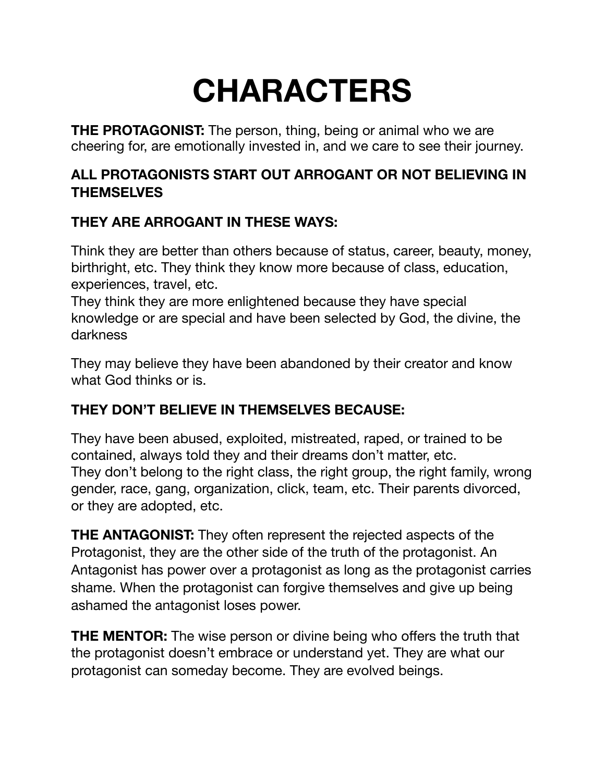## **CHARACTERS**

**THE PROTAGONIST:** The person, thing, being or animal who we are cheering for, are emotionally invested in, and we care to see their journey.

## **ALL PROTAGONISTS START OUT ARROGANT OR NOT BELIEVING IN THEMSELVES**

## **THEY ARE ARROGANT IN THESE WAYS:**

Think they are better than others because of status, career, beauty, money, birthright, etc. They think they know more because of class, education, experiences, travel, etc.

They think they are more enlightened because they have special knowledge or are special and have been selected by God, the divine, the darkness

They may believe they have been abandoned by their creator and know what God thinks or is.

## **THEY DON'T BELIEVE IN THEMSELVES BECAUSE:**

They have been abused, exploited, mistreated, raped, or trained to be contained, always told they and their dreams don't matter, etc. They don't belong to the right class, the right group, the right family, wrong gender, race, gang, organization, click, team, etc. Their parents divorced, or they are adopted, etc.

**THE ANTAGONIST:** They often represent the rejected aspects of the Protagonist, they are the other side of the truth of the protagonist. An Antagonist has power over a protagonist as long as the protagonist carries shame. When the protagonist can forgive themselves and give up being ashamed the antagonist loses power.

**THE MENTOR:** The wise person or divine being who offers the truth that the protagonist doesn't embrace or understand yet. They are what our protagonist can someday become. They are evolved beings.